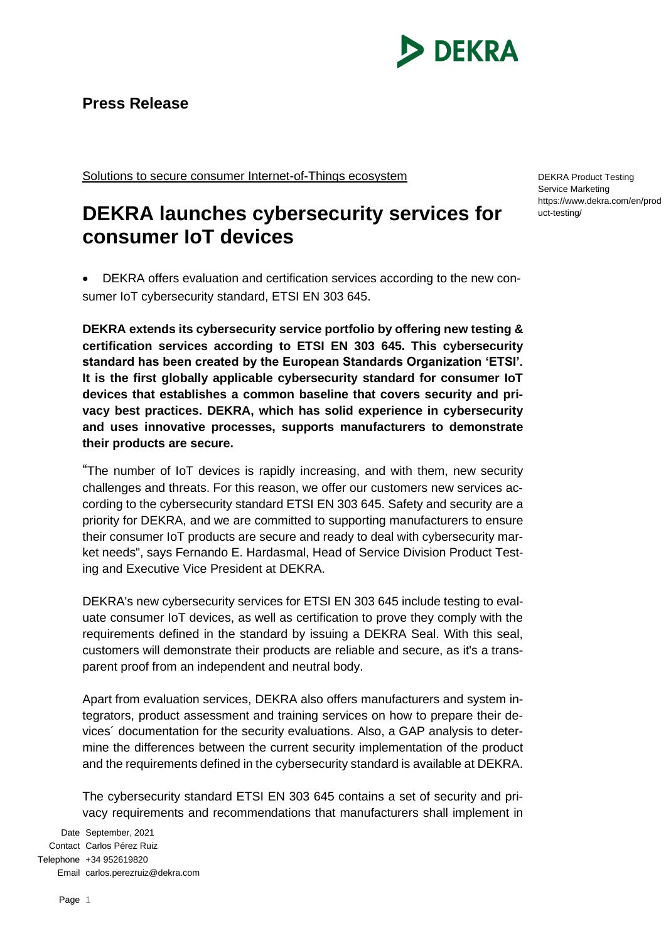

## **Press Release**

Solutions to secure consumer Internet-of-Things ecosystem

DEKRA Product Testing Service Marketing https://www.dekra.com/en/prod uct-testing/

## **DEKRA launches cybersecurity services for consumer IoT devices**

• DEKRA offers evaluation and certification services according to the new consumer IoT cybersecurity standard, ETSI EN 303 645.

**DEKRA extends its cybersecurity service portfolio by offering new testing & certification services according to ETSI EN 303 645. This cybersecurity standard has been created by the European Standards Organization 'ETSI'. It is the first globally applicable cybersecurity standard for consumer IoT devices that establishes a common baseline that covers security and privacy best practices. DEKRA, which has solid experience in cybersecurity and uses innovative processes, supports manufacturers to demonstrate their products are secure.**

"The number of IoT devices is rapidly increasing, and with them, new security challenges and threats. For this reason, we offer our customers new services according to the cybersecurity standard ETSI EN 303 645. Safety and security are a priority for DEKRA, and we are committed to supporting manufacturers to ensure their consumer IoT products are secure and ready to deal with cybersecurity market needs", says Fernando E. Hardasmal, Head of Service Division Product Testing and Executive Vice President at DEKRA.

DEKRA's new cybersecurity services for ETSI EN 303 645 include testing to evaluate consumer IoT devices, as well as certification to prove they comply with the requirements defined in the standard by issuing a DEKRA Seal. With this seal, customers will demonstrate their products are reliable and secure, as it's a transparent proof from an independent and neutral body.

Apart from evaluation services, DEKRA also offers manufacturers and system integrators, product assessment and training services on how to prepare their devices´ documentation for the security evaluations. Also, a GAP analysis to determine the differences between the current security implementation of the product and the requirements defined in the cybersecurity standard is available at DEKRA.

The cybersecurity standard ETSI EN 303 645 contains a set of security and privacy requirements and recommendations that manufacturers shall implement in

Date September, 2021 Contact Carlos Pérez Ruiz Telephone +34 952619820 Email carlos.perezruiz@dekra.com